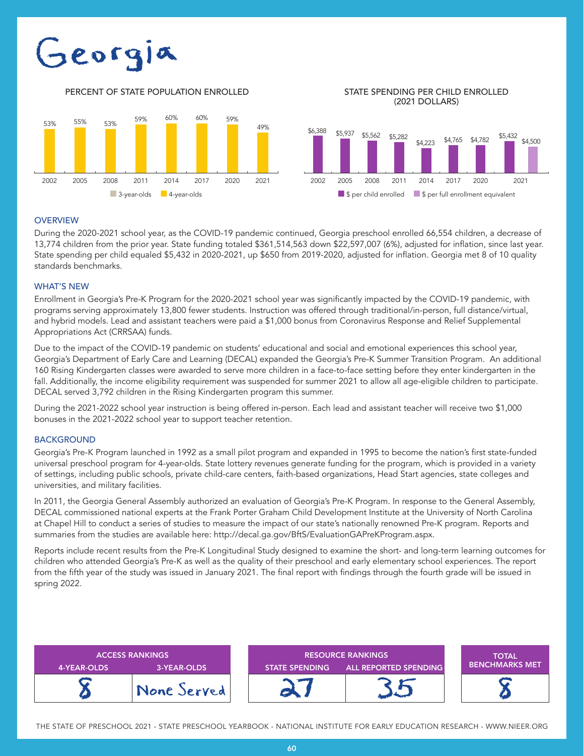# Georgia

PERCENT OF STATE POPULATION ENROLLED STATE SPENDING PER CHILD ENROLLED

(2021 DOLLARS)





## **OVERVIEW**

During the 2020-2021 school year, as the COVID-19 pandemic continued, Georgia preschool enrolled 66,554 children, a decrease of 13,774 children from the prior year. State funding totaled \$361,514,563 down \$22,597,007 (6%), adjusted for inflation, since last year. State spending per child equaled \$5,432 in 2020-2021, up \$650 from 2019-2020, adjusted for inflation. Georgia met 8 of 10 quality standards benchmarks.

# WHAT'S NEW

Enrollment in Georgia's Pre-K Program for the 2020-2021 school year was significantly impacted by the COVID-19 pandemic, with programs serving approximately 13,800 fewer students. Instruction was offered through traditional/in-person, full distance/virtual, and hybrid models. Lead and assistant teachers were paid a \$1,000 bonus from Coronavirus Response and Relief Supplemental Appropriations Act (CRRSAA) funds.

Due to the impact of the COVID-19 pandemic on students' educational and social and emotional experiences this school year, Georgia's Department of Early Care and Learning (DECAL) expanded the Georgia's Pre-K Summer Transition Program. An additional 160 Rising Kindergarten classes were awarded to serve more children in a face-to-face setting before they enter kindergarten in the fall. Additionally, the income eligibility requirement was suspended for summer 2021 to allow all age-eligible children to participate. DECAL served 3,792 children in the Rising Kindergarten program this summer.

During the 2021-2022 school year instruction is being offered in-person. Each lead and assistant teacher will receive two \$1,000 bonuses in the 2021-2022 school year to support teacher retention.

## **BACKGROUND**

Georgia's Pre-K Program launched in 1992 as a small pilot program and expanded in 1995 to become the nation's first state-funded universal preschool program for 4-year-olds. State lottery revenues generate funding for the program, which is provided in a variety of settings, including public schools, private child-care centers, faith-based organizations, Head Start agencies, state colleges and universities, and military facilities.

In 2011, the Georgia General Assembly authorized an evaluation of Georgia's Pre-K Program. In response to the General Assembly, DECAL commissioned national experts at the Frank Porter Graham Child Development Institute at the University of North Carolina at Chapel Hill to conduct a series of studies to measure the impact of our state's nationally renowned Pre-K program. Reports and summaries from the studies are available here: http://decal.ga.gov/BftS/EvaluationGAPreKProgram.aspx.

Reports include recent results from the Pre-K Longitudinal Study designed to examine the short- and long-term learning outcomes for children who attended Georgia's Pre-K as well as the quality of their preschool and early elementary school experiences. The report from the fifth year of the study was issued in January 2021. The final report with findings through the fourth grade will be issued in spring 2022.

| <b>4-YEAR-OLDS</b> | <b>ACCESS RANKINGS</b><br>3-YEAR-OLDS | <b>RESOURCE RANKINGS</b><br>ALL REPORTED SPENDING<br><b>STATE SPENDING</b> |  | <b>TOTAL</b><br><b>BENCHMARKS MET</b> |
|--------------------|---------------------------------------|----------------------------------------------------------------------------|--|---------------------------------------|
|                    | None Served                           |                                                                            |  |                                       |

THE STATE OF PRESCHOOL 2021 - STATE PRESCHOOL YEARBOOK - NATIONAL INSTITUTE FOR EARLY EDUCATION RESEARCH - WWW.NIEER.ORG